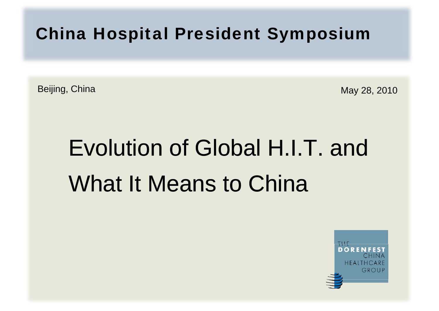China Hospital President Symposium

Beijing, China May 28, 2010

# Evolution of Global H.I.T. and What It Means to China

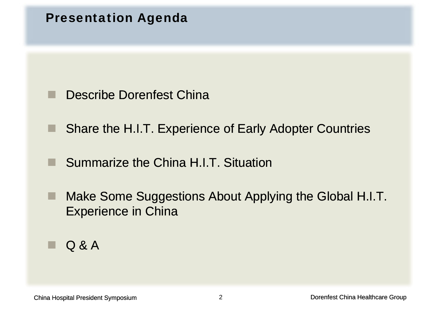



- ٠ Share the H.I.T. Experience of Early Adopter Countries
- Summarize the China H.I.T. Situation
- ٠ Make Some Suggestions About Applying the Global H.I.T. Experience in China

۰ Q&A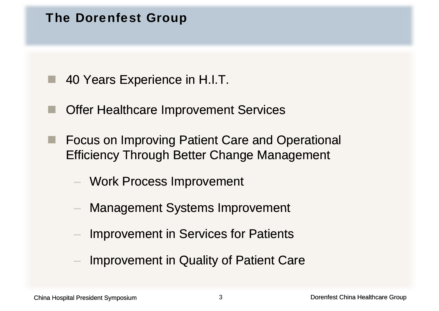#### The Dorenfest Group

- 40 Years Experience in H.I.T.
- Offer Healthcare Improvement Services
- ■ Focus on Improving Patient Care and Operational Efficiency Through Better Change Management
	- Work Process Improvement
	- Management Systems Improvement
	- Improvement in Services for Patients
	- Improvement in Quality of Patient Care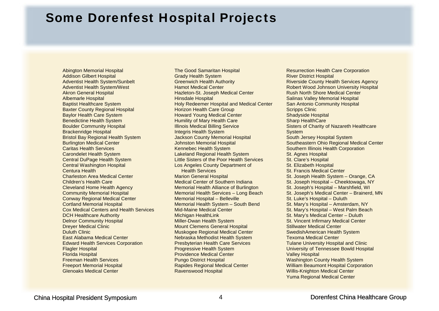#### Some Dorenfest Hospital Projects

Abington Memorial Hospital Addison Gilbert Hospital Adventist Health System/Sunbelt Adventist Health System/West Akron General Hospital Albemarle Hospital Baptist Healthcare System Baxter County Regional Hospital Baylor Health Care System Benedictine Health System Boulder Community Hospital Brackenridge Hospital Bristol Bay Regional Health System Burlington Medical Center Caritas Health Services Carondelet Health System Central DuPage Health System Central Washington Hospital Centura Health Charleston Area Medical Center Children's Health Care Cleveland Home Health Agency Community Memorial Hospital Conway Regional Medical Center Cortland Memorial Hospital Cox Medical Centers and Health Services DCH Healthcare Authority Delnor Community Hospital Dreyer Medical Clinic Duluth Clinic East Alabama Medical Center Edward Health Services Corporation Flagler Hospital Florida Hospital Freeman Health Services Freeport Memorial Hospital Glenoaks Medical Center

The Good Samaritan Hospital Grady Health System Greenwich Health Authority Hamot Medical Center Hazleton-St. Joseph Medical Center Hinsdale Hospital Holy Redeemer Hospital and Medical Center Horizon Health Care Group Howard Young Medical Center Humility of Mary Health Care Illinois Medical Billing Service Integris Health System I Bay Regional Health System Jackson County Memorial Hospital South Jersey Hospital System Johnston Memorial Hospital Kennebec Health System Lakeland Regional Health System Little Sisters of the Poor Health Services Los Angeles County Department of Health ServicesMarion General Hospital Medical Center of Southern Indiana Memorial Health Alliance of Burlington Memorial Health Services – Long Beach Memorial Hospital – Belleville Memorial Health System – South Bend Mid-Maine Medical Center s Mid-Maine Medical Center Newsian St. Mary's Hospital – West Palm Beach Michigan HealthLink Miller-Dwan Health System Mount Clemens General Hospital Muskogee Regional Medical Center Nebraska Methodist Health System Presbyterian Health Care Services d Health Services Corporation **Tulane University Hospital and Clinic** Creation Presbyterian Health Care Services Progressive Health System Providence Medical Center Pungo District Hospital Rapides Regional Medical Center Ravenswood Hospital

Resurrection Health Care Corporation River District Hospital Riverside County Health Services Agency Robert Wood Johnson University Hospital Rush North Shore Medical Center Salinas Valley Memorial Hospital San Antonio Community Hospital Scripps Clinic Shadyside Hospital Sharp HealthCare Sisters of Charity of Nazareth Healthcare **System** South Jersey Hospital System Southeastern Ohio Regional Medical Center Southern Illinois Health Corporation St. Agnes Hospital St. Clare's Hospital St. Elizabeth Hospital St. Francis Medical Center St. Joseph Health System – Orange, CA St. Joseph Hospital – Cheektowaga, NY St. Joseph's Hospital – Marshfield, WI St. Joseph's Medical Center – Brainerd, MN St. Luke's Hospital – Duluth St. Mary's Hospital – Amsterdam, NY St. Mary's Medical Center – Duluth St. Vincent Infirmary Medical Center Stillwater Medical Center SwedishAmerican Health System Texoma Medical Center University of Tennessee Bowld Hospital Valley Hospital Washington County Health System William Beaumont Hospital Corporation Willis-Knighton Medical Center Yuma Regional Medical Center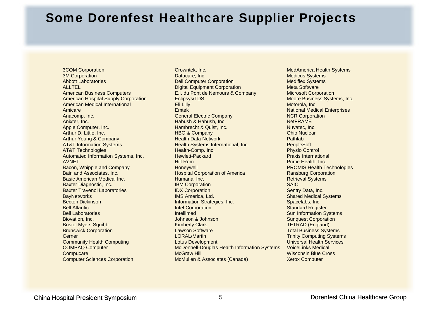#### Some Dorenfest Healthcare Supplier Projects

3COM Corporation 3M Corporation Abbott Laboratories ALL TEL American Business Computers American Hospital Supply Corporation American Medical InternationalAmicare Anacomp, Inc. Anixter, Inc. Apple Computer, Inc. Arthur D. Little, Inc. Arthur Young & C AT&T Information Systems AT&T Technologies Automated Information Systems, Inc. AVNET Bacon, Whipple and Company Bain and Associates IncBasic American Medical Inc. Baxter Diagnostic, Inc. Baxter Travenol Laboratories **BayNetworks** Becton Dickinson Bell Atlantic Bell Laboratories Biovation, Inc. Bristol-Myers Squibb Brunswick Corporation Cerner Communit y Health Computing COMPAQ Computer **Compucare** Computer Sciences Corporation

Crowntek, Inc. Datacare, Inc. Dell Computer Corporation Digital Equipment Corporation E.I. du Pont de Nemours & Company Eclipsys/TDS Eli Lilly Emtek General Electric Company Habush & Habush, Inc. Hambrecht & Quist, Inc. HBO & Company Company Pathlab Realth Data Network Property Realthabel Burn Bathlab Health Systems International, Inc. Health-Comp. Inc. Hewlett-Packard Hill-Rom **Honeywell** n and Associates, Inc. **According the Constant Corporation of America Corporation** Ransburg Corporation Humana, Inc. IBM Corporation **IDX Corporation** IMS America, Ltd. Information Strategies, Inc. Intel Corporation Contract and Contract Contract Communication of the Corporation Contract Contract Contract Contract Contract Contract Contract Contract Contract Contract Contract Contract Contract Contract Contract Contract Contract Contr Intellimed Johnson & Johnson Kimberly Clark Lawson Software LORAL/Martin Lotus Development McDonnell-Douglas Health Information Systems McGraw Hill McMullen & Associates (Canada)

MedAmerica Health Systems Medicus Systems Mediflex Systems Meta Software Microsoft Corporation Moore Business Systems, Inc. Motorola, Inc. National Medical Enterprises NCR Corporation NetFRAME Nuvatec, Inc. Ohio Nuclear Pathlah PeopleSoft Physio Control Praxis International Prime Health, Inc. PROMIS Health Technologies **Ransburg Corporation** Retrieval Systems SAIC Sentry Data, Inc. Shared Medical Systems Spacelabs, Inc. Sun Information Systems Sunquest Corporation TETRAD (England) Total Business Systems Trinity Computing Systems **Universal Health Services** VoiceLinks Medical Wisconsin Blue Cross Xerox Computer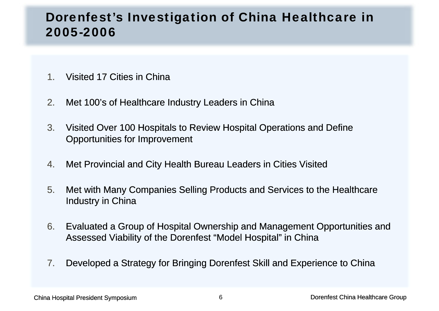#### Dorenfest's Investigation of China Healthcare in 2005-2006

- 1.Visited 17 Cities in China
- 2.Met 100's of Healthcare Industry Leaders in China
- 3. Visited Over 100 Hospitals to Review Hospital Operations and Define Opportunities for Improvement
- 4.Met Provincial and City Health Bureau Leaders in Cities Visited
- 5. Met with Many Companies Selling Products and Services to the Healthcare Industry in China
- 6. Evaluated a Group of Hospital Ownership and Management Opportunities and Assessed Viability of the Dorenfest "Model Hospital" in China
- 7.Developed a Strategy for Bringing Dorenfest Skill and Experience to China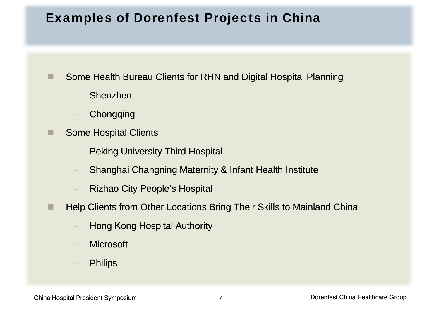#### Examples of Dorenfest Projects in China

Some Health Bureau Clients for RHN and Digital Hospital Planning

Shenzhen

ш

п

- **Chongqing**
- Some Hospital Clients
	- Peking University Third Hospital
	- Ananghai Changning Maternity & Infant Health Institute
	- Rizhao City People's Hospital
- a se Help Clients from Other Locations Bring Their Skills to Mainland China
	- Hong Kong Hospital Authority
	- **Microsoft**
	- **Philips**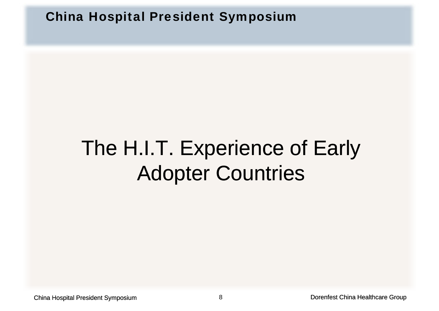China Hospital President Symposium

## The H.I.T. Experience of Early Adopter Countries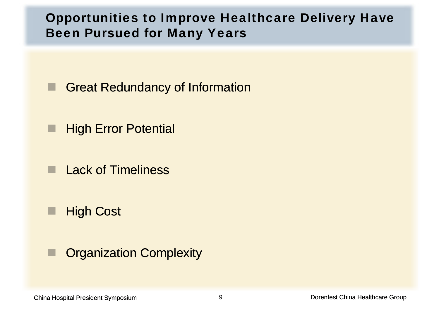#### Opportunities to Improve Healthcare Delivery Have Been Pursued for Many Years

- Great Redundancy of Information
- Ш High Error Potential
- Lack of Timeliness
- Τ ■ High Cost
- Τ Organization Complexity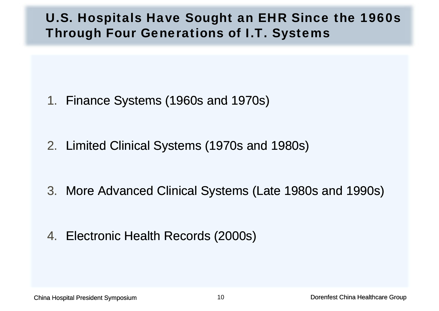#### U.S. Hospitals Have Sought an EHR Since the 1960s Through Four Generations of I.T. Systems

- 1. Finance Systems (1960s and 1970s)
- 2. Limited Clinical Systems (1970s and 1980s)
- 3. More Advanced Clinical Systems (Late 1980s and 1990s)
- 4. Electronic Health Records (2000s)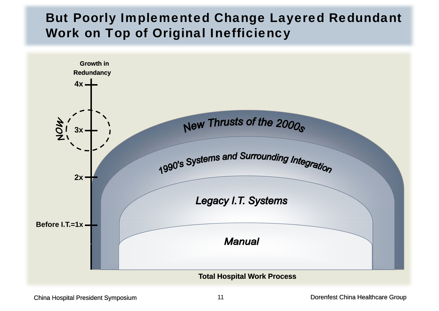#### But Poorly Implemented Change Layered Redundant Work on Top of Original Inefficiency

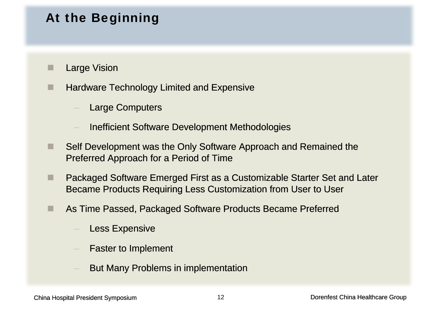#### At the Beginning

- ш Large Vision
- п Hardware Technology Limited and Expensive
	- Large Computers
	- Inefficient Software Development Methodologies
- ٠ Self Development was the Only Software Approach and Remained the Preferred Approach for a Period of Time
- ٠ Packaged Software Emerged First as a Customizable Starter Set and Later Became Products Requiring Less Customization from User to User
- ш As Time Passed, Packaged Software Products Became Preferred
	- Less Expensive
	- Faster to Implement
	- But Many Problems in implementation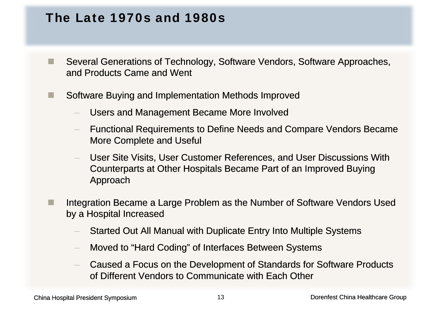#### The Late 1970s and 1980s

- P. Several Generations of Technology, Software Vendors, Software Approaches, and Products Came and Went
- п Software Buying and Implementation Methods Improved
	- Users and Management Became More Involved
	- Functional Requirements to Define Needs and Compare Vendors Became More Complete and Useful
	- User Site Visits, User Customer References, and User Discussions With Counterparts at Other Hospitals Became Part of an Improved Buying Approach
- P. Integration Became a Large Problem as the Number of Software Vendors Used by a Hospital Increased
	- Started Out All Manual with Duplicate Entry Into Multiple Systems
	- Moved to "Hard Coding" of Interfaces Between Systems
	- Caused a Focus on the Development of Standards for Software Products of Different Vendors to Communicate with Each Other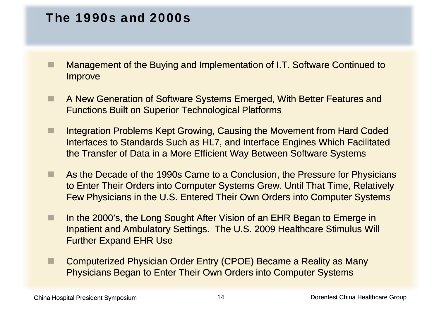#### The 1990s and 2000s

- п Management of the Buying and Implementation of I.T. Software Continued to **Improve**
- ٠ A New Generation of Software Systems Emerged, With Better Features and Functions Built on Superior Technological Platforms
- ٠ Integration Problems Kept Growing, Causing the Movement from Hard Coded Interfaces to Standards Such as HL7, and Interface Engines Which Facilitated the Transfer of Data in a More Efficient Way Between Software Systems
- ш **As the Decade of the 1990s Came to a Conclusion, the Pressure for Physicians** to Enter Their Orders into Computer Systems Grew. Until That Time, Relatively Few Physicians in the U.S. Entered Their Own Orders into Computer Systems
- п In the 2000's, the Long Sought After Vision of an EHR Began to Emerge in Inpatient and Ambulatory Settings. The U.S. 2009 Healthcare Stimulus Will Further Ex pand EHR Use
- П Computerized Physician Order Entry (CPOE) Became a Reality as Many Physicians Began to Enter Their Own Orders into Computer Systems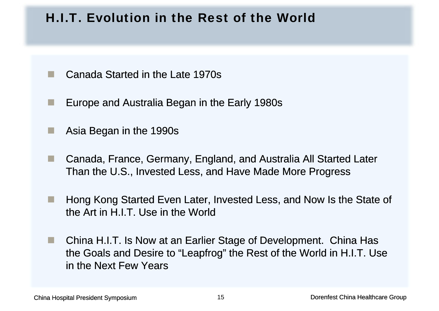#### H.I.T. Evolution in the Rest of the World

- **Tale** Canada Started in the Late 1970s
- **I** Europe and Australia Began in the Early 1980s 1980s
- Asia Began in the 1990s
- $\mathbb{R}^n$  Canada, France, Germany, England, and Australia All Started Later Than the U.S., Invested Less, and Have Made More Progress
- **Tall**  Hong Kong Started Even Later, Invested Less, and Now Is the State of the Art in H.I.T. Use in the World
- $\mathbb{R}^n$ China H.I.T. Is Now at an Earlier Stage of Development. China Has the Goals and Desire to "Leapfrog" the Rest of the World in H.I.T. Use in the Next Few Years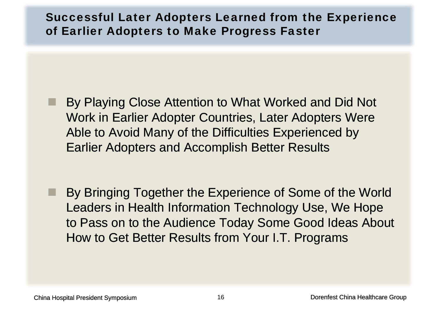#### Successful Later Adopters Learned from the Experience of Earlier Adopters to Make Progress Faster

- By Playing Close Attention to What Worked and Did Not Work in Earlier Adopter Countries, Later Adopters Were Able to Avoid Many of the Difficulties Experienced by Earlier Adopters and Accomplish Better Results
- an<br>Ma By Bringing Together the Experience of Some of the World Leaders in Health Information Technology Use, We Hope to Pass on to the Audience Today Some Good Ideas About How to Get Better Results from Your I.T. Pro grams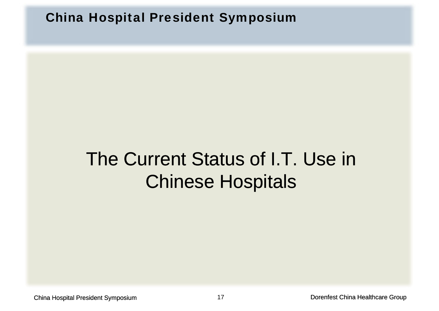China Hospital President Symposium

### The Current Status of I.T. Use in Chinese Hospitals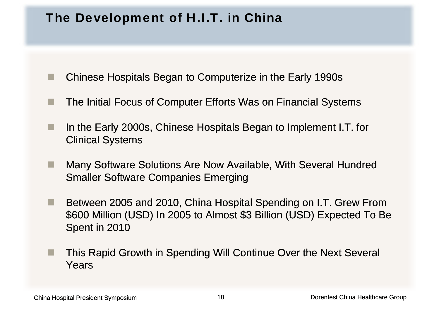#### The Development of H.I.T. in China

- ш Chinese Hospitals Began to Computerize in the Early 1990s
- The Initial Focus of Computer Efforts Was on Financial Systems
- ш In the Early 2000s, Chinese Hospitals Began to Implement I.T. for Clinical Systems
- × Many Software Solutions Are Now Available, With Several Hundred Smaller Software Companies Emerging
- **Tari**  Between 2005 and 2010, China Hospital Spending on I.T. Grew From \$600 Million (USD) In 2005 to Almost \$3 Billion (USD) Expected To Be Spent in 2010
- п This Rapid Growth in Spending Will Continue Over the Next Several Years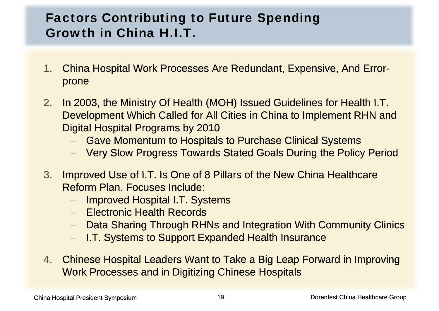#### Factors Contributing to Future Spending Growth in China H.I.T.

- 1.. China Hospital Work Processes Are Redundant, Expensive, And Error prone
- 2.In 2003, the Ministry Of Health (MOH) Issued Guidelines for Health I.T. Development Which Called for All Cities in China to Implement RHN and Digital Hospital Programs by 2010
	- Gave Momentum to Hospitals to Purchase Clinical Systems
	- Very Slow Progress Towards Stated Goals During the Policy Period
- 3. Improved Use of I.T. Is One of 8 Pillars of the New China Healthcare Reform Plan. Focuses Include:
	- Improved Hospital I.T. Systems
	- Electronic Health Records
	- Data Sharing Through RHNs and Integration With Community Clinics
	- –I.T. Systems to Support Expanded Health Insurance
- 4. Chinese Hospital Leaders Want to Take a Big Leap Forward in Improving Work Processes and in Digitizing Chinese Hospitals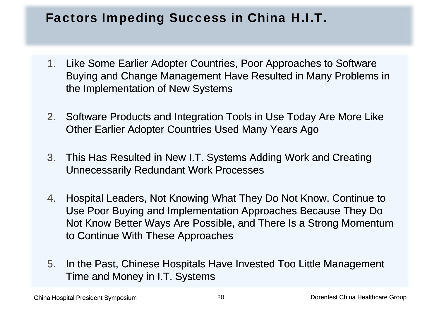#### Factors Impeding Success in China H.I.T.

- 1. Like Some Earlier Adopter Countries, Poor Approaches to Software Buying and Change Management Have Resulted in Many Problems in the Implementation of New Systems
- 2. Software Products and Integration Tools in Use Today Are More Like Other Earlier Adopter Countries Used Many Years Ago
- 3. This Has Resulted in New I.T. Systems Adding Work and Creating Unnecessarily Redundant Work Processes
- 4. Hospital Leaders, Not Knowing What They Do Not Know, Continue to Use Poor Buying and Implementation Approaches Because They Do Not Know Better Ways Are Possible, and There Is a Strong Momentum to Continue With These Approaches
- 5. In the Past, Chinese Hospitals Have Invested Too Little Management Time and Money in I.T. Systems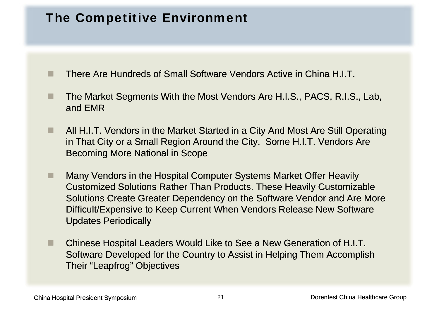#### The Competitive Environment

a se There Are Hundreds of Small Software Vendors Active in China H.I.T.

- × The Market Segments With the Most Vendors Are H.I.S., PACS, R.I.S., Lab, and EMR
- ٠ All H.I.T. Vendors in the Market Started in a City And Most Are Still Operating in That City or a Small Region Around the City. Some H.I.T. Vendors Are Becoming More National in Scope
- ٠ ■ Many Vendors in the Hospital Computer Systems Market Offer Heavily Customized Solutions Rather Than Products. These Heavily Customizable Solutions Create Greater Dependency on the Software Vendor and Are More Difficult/Expensive to Keep Current When Vendors Release New Software Updates Periodically
- ш ■ Chinese Hospital Leaders Would Like to See a New Generation of H.I.T. Software Developed for the Country to Assist in Helping Them Accomplish Their "Leapfrog" Objectives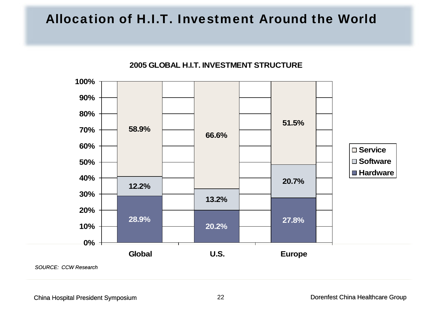#### Allocation of H.I.T. Investment Around the World

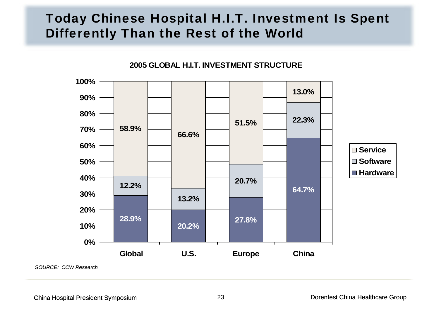#### Today Chinese Hospital H.I.T. Investment Is Spent Differently Than the Rest of the World



**<sup>2005</sup> GLOBAL H I T INVESTMENT STRUCTUREH.I.T.** 

*SOURCE: CCW Research*

China Hospital President Symposium 23 Dorenfest China Healthcare Group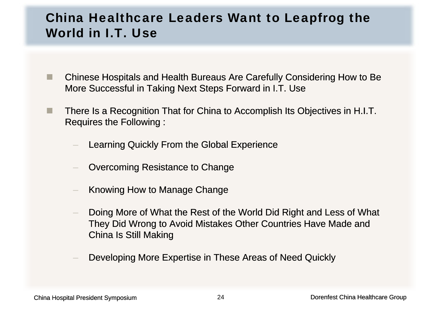#### China Healthcare Leaders Want to Leapfrog the World in I.T. Use

- a a Chinese Hospitals and Health Bureaus Are Carefully Considering How to Be More Successful in Taking Next Steps Forward in I.T. Use
- **The State**  There Is a Recognition That for China to Accomplish Its Objectives in H.I.T. Requires the Following :
	- Learning Quickly From the Global Experience
	- Overcoming Resistance to Change
	- Knowing How to Manage Change
	- – Doing More of What the Rest of the World Did Right and Less of What They Did Wrong to Avoid Mistakes Other Countries Have Made and China Is Still Making
	- Developing More Expertise in These Areas of Need Quickly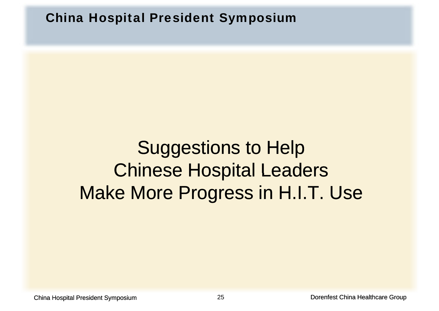China Hospital President Symposium

## Suggestions to Help Chinese Hospital Leaders Make More Progress in H.I.T. Use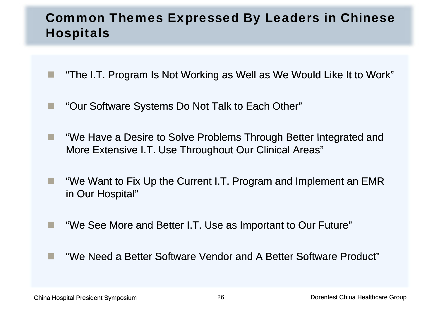#### Common Themes Expressed By Leaders in Chinese Hospitals

- "The I.T. Program Is Not Working as Well as We Would Like It to Work"
- H. ■ "Our Software Systems Do Not Talk to Each Other"
- **The State** "We Have a Desire to Solve Problems Through Better Integrated and More Extensive I.T. Use Throughout Our Clinical Areas"
- **The State**  "We Want to Fix Up the Current I.T. Program and Implement an EMR in Our Hospital"
- **Tale**  "We See More and Better I.T. Use as Important to Our Future"
	- "We Need a Better Software Vendor and A Better Software Product"

P.

**Tale**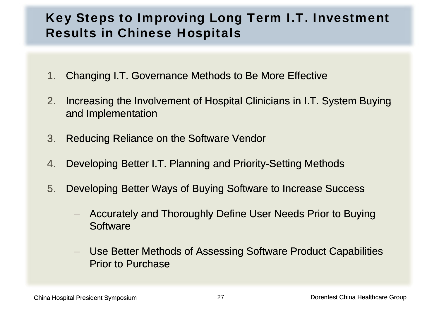#### Key Steps to Improving Long Term I.T. Investment Results in Chinese Hospitals

- 1. Changing I.T. Governance Methods to Be More Effective
- 2. Increasing the Involvement of Hospital Clinicians in I.T. System Buying and Implementation
- 3. Reducing Reliance on the Software Vendor
- 4.Developing Better I.T. Planning and Priority-Setting Methods
- 5. Developing Better Ways of Buying Software to Increase Success
	- Accurately and Thoroughly Define User Needs Prior to Buying **Software**
	- Use Better Methods of Assessing Software Product Capabilities Prior to Purchase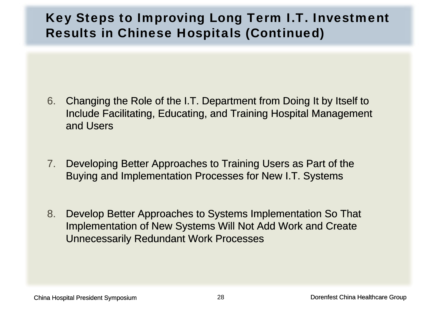#### Key Steps to Improving Long Term I.T. Investment Results in Chinese Hospitals (Continued)

- 6. Changing the Role of the I.T. Department from Doing It by Itself to Include Facilitating, Educating, and Training Hospital Management and Users
- 7. Developing Better Approaches to Training Users as Part of the Buying and Implementation Processes for New I.T. Systems
- 8. Develop Better Approaches to Systems Implementation So That Implementation of New Systems Will Not Add Work and Create Unnecessaril y Redundant Work Processes